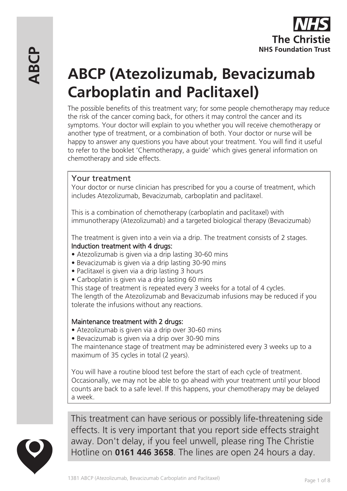# **ABCP (Atezolizumab, Bevacizumab Carboplatin and Paclitaxel)**

The possible benefits of this treatment vary; for some people chemotherapy may reduce the risk of the cancer coming back, for others it may control the cancer and its symptoms. Your doctor will explain to you whether you will receive chemotherapy or another type of treatment, or a combination of both. Your doctor or nurse will be happy to answer any questions you have about your treatment. You will find it useful to refer to the booklet 'Chemotherapy, a guide' which gives general information on chemotherapy and side effects.

# Your treatment

Your doctor or nurse clinician has prescribed for you a course of treatment, which includes Atezolizumab, Bevacizumab, carboplatin and paclitaxel.

This is a combination of chemotherapy (carboplatin and paclitaxel) with immunotherapy (Atezolizumab) and a targeted biological therapy (Bevacizumab)

The treatment is given into a vein via a drip. The treatment consists of 2 stages. Induction treatment with 4 drugs:

- Atezolizumab is given via a drip lasting 30-60 mins
- Bevacizumab is given via a drip lasting 30-90 mins
- Paclitaxel is given via a drip lasting 3 hours
- Carboplatin is given via a drip lasting 60 mins

This stage of treatment is repeated every 3 weeks for a total of 4 cycles.

The length of the Atezolizumab and Bevacizumab infusions may be reduced if you tolerate the infusions without any reactions.

## Maintenance treatment with 2 drugs:

• Atezolizumab is given via a drip over 30-60 mins

• Bevacizumab is given via a drip over 30-90 mins

The maintenance stage of treatment may be administered every 3 weeks up to a maximum of 35 cycles in total (2 years).

You will have a routine blood test before the start of each cycle of treatment. Occasionally, we may not be able to go ahead with your treatment until your blood counts are back to a safe level. If this happens, your chemotherapy may be delayed a week.



This treatment can have serious or possibly life-threatening side effects. It is very important that you report side effects straight away. Don't delay, if you feel unwell, please ring The Christie Hotline on **0161 446 3658**. The lines are open 24 hours a day.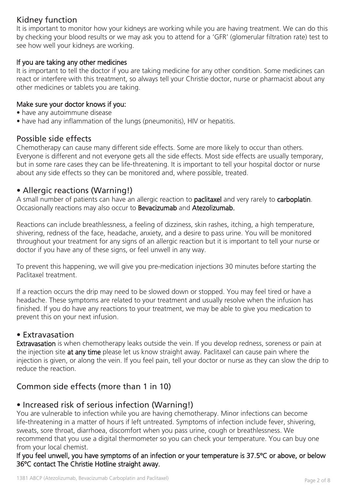# Kidney function

It is important to monitor how your kidneys are working while you are having treatment. We can do this by checking your blood results or we may ask you to attend for a 'GFR' (glomerular filtration rate) test to see how well your kidneys are working.

#### If you are taking any other medicines

It is important to tell the doctor if you are taking medicine for any other condition. Some medicines can react or interfere with this treatment, so always tell your Christie doctor, nurse or pharmacist about any other medicines or tablets you are taking.

#### Make sure your doctor knows if you:

- have any autoimmune disease
- have had any inflammation of the lungs (pneumonitis), HIV or hepatitis.

#### Possible side effects

Chemotherapy can cause many different side effects. Some are more likely to occur than others. Everyone is different and not everyone gets all the side effects. Most side effects are usually temporary, but in some rare cases they can be life-threatening. It is important to tell your hospital doctor or nurse about any side effects so they can be monitored and, where possible, treated.

## • Allergic reactions (Warning!)

A small number of patients can have an allergic reaction to **paclitaxel** and very rarely to **carboplatin**. Occasionally reactions may also occur to Bevacizumab and Atezolizumab.

Reactions can include breathlessness, a feeling of dizziness, skin rashes, itching, a high temperature, shivering, redness of the face, headache, anxiety, and a desire to pass urine. You will be monitored throughout your treatment for any signs of an allergic reaction but it is important to tell your nurse or doctor if you have any of these signs, or feel unwell in any way.

To prevent this happening, we will give you pre-medication injections 30 minutes before starting the Paclitaxel treatment.

If a reaction occurs the drip may need to be slowed down or stopped. You may feel tired or have a headache. These symptoms are related to your treatment and usually resolve when the infusion has finished. If you do have any reactions to your treatment, we may be able to give you medication to prevent this on your next infusion.

#### • Extravasation

Extravasation is when chemotherapy leaks outside the vein. If you develop redness, soreness or pain at the injection site at any time please let us know straight away. Paclitaxel can cause pain where the injection is given, or along the vein. If you feel pain, tell your doctor or nurse as they can slow the drip to reduce the reaction.

# Common side effects (more than 1 in 10)

## • Increased risk of serious infection (Warning!)

You are vulnerable to infection while you are having chemotherapy. Minor infections can become life-threatening in a matter of hours if left untreated. Symptoms of infection include fever, shivering, sweats, sore throat, diarrhoea, discomfort when you pass urine, cough or breathlessness. We recommend that you use a digital thermometer so you can check your temperature. You can buy one from your local chemist.

If you feel unwell, you have symptoms of an infection or your temperature is 37.5ºC or above, or below 36ºC contact The Christie Hotline straight away.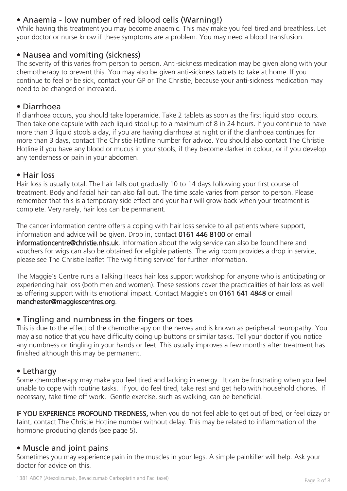# • Anaemia - low number of red blood cells (Warning!)

While having this treatment you may become anaemic. This may make you feel tired and breathless. Let your doctor or nurse know if these symptoms are a problem. You may need a blood transfusion.

## • Nausea and vomiting (sickness)

The severity of this varies from person to person. Anti-sickness medication may be given along with your chemotherapy to prevent this. You may also be given anti-sickness tablets to take at home. If you continue to feel or be sick, contact your GP or The Christie, because your anti-sickness medication may need to be changed or increased.

## • Diarrhoea

If diarrhoea occurs, you should take loperamide. Take 2 tablets as soon as the first liquid stool occurs. Then take one capsule with each liquid stool up to a maximum of 8 in 24 hours. If you continue to have more than 3 liquid stools a day, if you are having diarrhoea at night or if the diarrhoea continues for more than 3 days, contact The Christie Hotline number for advice. You should also contact The Christie Hotline if you have any blood or mucus in your stools, if they become darker in colour, or if you develop any tenderness or pain in your abdomen.

#### • Hair loss

Hair loss is usually total. The hair falls out gradually 10 to 14 days following your first course of treatment. Body and facial hair can also fall out. The time scale varies from person to person. Please remember that this is a temporary side effect and your hair will grow back when your treatment is complete. Very rarely, hair loss can be permanent.

The cancer information centre offers a coping with hair loss service to all patients where support, information and advice will be given. Drop in, contact 0161 446 8100 or email informationcentre@christie.nhs.uk. Information about the wig service can also be found here and vouchers for wigs can also be obtained for eligible patients. The wig room provides a drop in service, please see The Christie leaflet 'The wig fitting service' for further information.

The Maggie's Centre runs a Talking Heads hair loss support workshop for anyone who is anticipating or experiencing hair loss (both men and women). These sessions cover the practicalities of hair loss as well as offering support with its emotional impact. Contact Maggie's on 0161 641 4848 or email manchester@maggiescentres.org.

# • Tingling and numbness in the fingers or toes

This is due to the effect of the chemotherapy on the nerves and is known as peripheral neuropathy. You may also notice that you have difficulty doing up buttons or similar tasks. Tell your doctor if you notice any numbness or tingling in your hands or feet. This usually improves a few months after treatment has finished although this may be permanent.

# • Lethargy

Some chemotherapy may make you feel tired and lacking in energy. It can be frustrating when you feel unable to cope with routine tasks. If you do feel tired, take rest and get help with household chores. If necessary, take time off work. Gentle exercise, such as walking, can be beneficial.

IF YOU EXPERIENCE PROFOUND TIREDNESS, when you do not feel able to get out of bed, or feel dizzy or faint, contact The Christie Hotline number without delay. This may be related to inflammation of the hormone producing glands (see page 5).

# • Muscle and joint pains

Sometimes you may experience pain in the muscles in your legs. A simple painkiller will help. Ask your doctor for advice on this.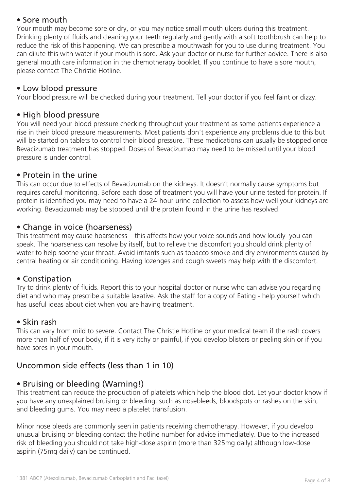# • Sore mouth

Your mouth may become sore or dry, or you may notice small mouth ulcers during this treatment. Drinking plenty of fluids and cleaning your teeth regularly and gently with a soft toothbrush can help to reduce the risk of this happening. We can prescribe a mouthwash for you to use during treatment. You can dilute this with water if your mouth is sore. Ask your doctor or nurse for further advice. There is also general mouth care information in the chemotherapy booklet. If you continue to have a sore mouth, please contact The Christie Hotline.

## • Low blood pressure

Your blood pressure will be checked during your treatment. Tell your doctor if you feel faint or dizzy.

## • High blood pressure

You will need your blood pressure checking throughout your treatment as some patients experience a rise in their blood pressure measurements. Most patients don't experience any problems due to this but will be started on tablets to control their blood pressure. These medications can usually be stopped once Bevacizumab treatment has stopped. Doses of Bevacizumab may need to be missed until your blood pressure is under control.

## • Protein in the urine

This can occur due to effects of Bevacizumab on the kidneys. It doesn't normally cause symptoms but requires careful monitoring. Before each dose of treatment you will have your urine tested for protein. If protein is identified you may need to have a 24-hour urine collection to assess how well your kidneys are working. Bevacizumab may be stopped until the protein found in the urine has resolved.

# • Change in voice (hoarseness)

This treatment may cause hoarseness – this affects how your voice sounds and how loudly you can speak. The hoarseness can resolve by itself, but to relieve the discomfort you should drink plenty of water to help soothe your throat. Avoid irritants such as tobacco smoke and dry environments caused by central heating or air conditioning. Having lozenges and cough sweets may help with the discomfort.

## • Constipation

Try to drink plenty of fluids. Report this to your hospital doctor or nurse who can advise you regarding diet and who may prescribe a suitable laxative. Ask the staff for a copy of Eating - help yourself which has useful ideas about diet when you are having treatment.

## • Skin rash

This can vary from mild to severe. Contact The Christie Hotline or your medical team if the rash covers more than half of your body, if it is very itchy or painful, if you develop blisters or peeling skin or if you have sores in your mouth.

# Uncommon side effects (less than 1 in 10)

## • Bruising or bleeding (Warning!)

This treatment can reduce the production of platelets which help the blood clot. Let your doctor know if you have any unexplained bruising or bleeding, such as nosebleeds, bloodspots or rashes on the skin, and bleeding gums. You may need a platelet transfusion.

Minor nose bleeds are commonly seen in patients receiving chemotherapy. However, if you develop unusual bruising or bleeding contact the hotline number for advice immediately. Due to the increased risk of bleeding you should not take high-dose aspirin (more than 325mg daily) although low-dose aspirin (75mg daily) can be continued.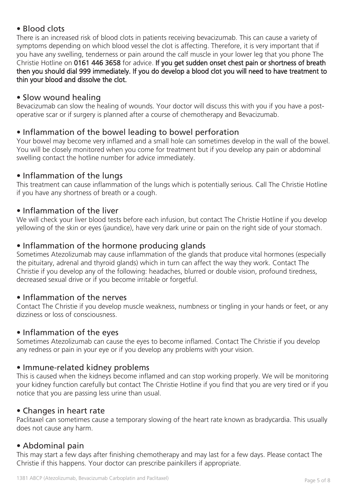# • Blood clots

There is an increased risk of blood clots in patients receiving bevacizumab. This can cause a variety of symptoms depending on which blood vessel the clot is affecting. Therefore, it is very important that if you have any swelling, tenderness or pain around the calf muscle in your lower leg that you phone The Christie Hotline on 0161 446 3658 for advice. If you get sudden onset chest pain or shortness of breath then you should dial 999 immediately. If you do develop a blood clot you will need to have treatment to thin your blood and dissolve the clot.

## • Slow wound healing

Bevacizumab can slow the healing of wounds. Your doctor will discuss this with you if you have a postoperative scar or if surgery is planned after a course of chemotherapy and Bevacizumab.

# • Inflammation of the bowel leading to bowel perforation

Your bowel may become very inflamed and a small hole can sometimes develop in the wall of the bowel. You will be closely monitored when you come for treatment but if you develop any pain or abdominal swelling contact the hotline number for advice immediately.

## • Inflammation of the lungs

This treatment can cause inflammation of the lungs which is potentially serious. Call The Christie Hotline if you have any shortness of breath or a cough.

# • Inflammation of the liver

We will check your liver blood tests before each infusion, but contact The Christie Hotline if you develop yellowing of the skin or eyes (jaundice), have very dark urine or pain on the right side of your stomach.

## • Inflammation of the hormone producing glands

Sometimes Atezolizumab may cause inflammation of the glands that produce vital hormones (especially the pituitary, adrenal and thyroid glands) which in turn can affect the way they work. Contact The Christie if you develop any of the following: headaches, blurred or double vision, profound tiredness, decreased sexual drive or if you become irritable or forgetful.

## • Inflammation of the nerves

Contact The Christie if you develop muscle weakness, numbness or tingling in your hands or feet, or any dizziness or loss of consciousness.

## • Inflammation of the eyes

Sometimes Atezolizumab can cause the eyes to become inflamed. Contact The Christie if you develop any redness or pain in your eye or if you develop any problems with your vision.

## • Immune-related kidney problems

This is caused when the kidneys become inflamed and can stop working properly. We will be monitoring your kidney function carefully but contact The Christie Hotline if you find that you are very tired or if you notice that you are passing less urine than usual.

## • Changes in heart rate

Paclitaxel can sometimes cause a temporary slowing of the heart rate known as bradycardia. This usually does not cause any harm.

# • Abdominal pain

This may start a few days after finishing chemotherapy and may last for a few days. Please contact The Christie if this happens. Your doctor can prescribe painkillers if appropriate.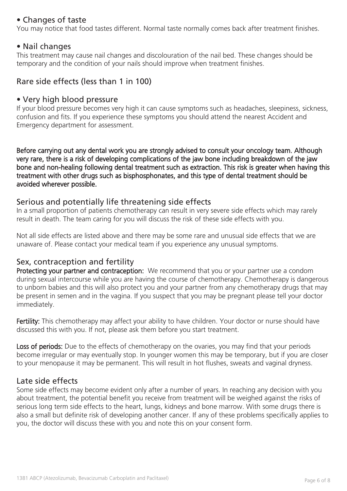# • Changes of taste

You may notice that food tastes different. Normal taste normally comes back after treatment finishes.

## • Nail changes

This treatment may cause nail changes and discolouration of the nail bed. These changes should be temporary and the condition of your nails should improve when treatment finishes.

# Rare side effects (less than 1 in 100)

## • Very high blood pressure

If your blood pressure becomes very high it can cause symptoms such as headaches, sleepiness, sickness, confusion and fits. If you experience these symptoms you should attend the nearest Accident and Emergency department for assessment.

Before carrying out any dental work you are strongly advised to consult your oncology team. Although very rare, there is a risk of developing complications of the jaw bone including breakdown of the jaw bone and non-healing following dental treatment such as extraction. This risk is greater when having this treatment with other drugs such as bisphosphonates, and this type of dental treatment should be avoided wherever possible.

## Serious and potentially life threatening side effects

In a small proportion of patients chemotherapy can result in very severe side effects which may rarely result in death. The team caring for you will discuss the risk of these side effects with you.

Not all side effects are listed above and there may be some rare and unusual side effects that we are unaware of. Please contact your medical team if you experience any unusual symptoms.

## Sex, contraception and fertility

Protecting your partner and contraception: We recommend that you or your partner use a condom during sexual intercourse while you are having the course of chemotherapy. Chemotherapy is dangerous to unborn babies and this will also protect you and your partner from any chemotherapy drugs that may be present in semen and in the vagina. If you suspect that you may be pregnant please tell your doctor immediately.

Fertility: This chemotherapy may affect your ability to have children. Your doctor or nurse should have discussed this with you. If not, please ask them before you start treatment.

Loss of periods: Due to the effects of chemotherapy on the ovaries, you may find that your periods become irregular or may eventually stop. In younger women this may be temporary, but if you are closer to your menopause it may be permanent. This will result in hot flushes, sweats and vaginal dryness.

## Late side effects

Some side effects may become evident only after a number of years. In reaching any decision with you about treatment, the potential benefit you receive from treatment will be weighed against the risks of serious long term side effects to the heart, lungs, kidneys and bone marrow. With some drugs there is also a small but definite risk of developing another cancer. If any of these problems specifically applies to you, the doctor will discuss these with you and note this on your consent form.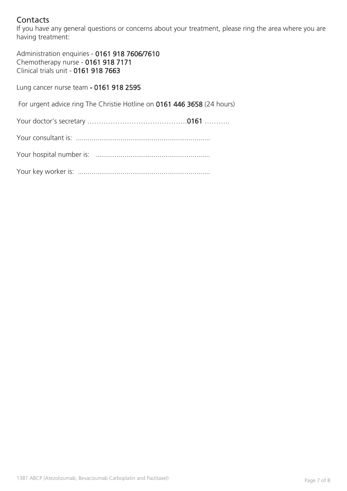# **Contacts**

If you have any general questions or concerns about your treatment, please ring the area where you are having treatment:

Administration enquiries - 0161 918 7606/7610 Chemotherapy nurse - 0161 918 7171 Clinical trials unit - 0161 918 7663

Lung cancer nurse team - 0161 918 2595

For urgent advice ring The Christie Hotline on 0161 446 3658 (24 hours)

Your doctor's secretary …………………………………….0161 ………..

Your consultant is: .....................................................................

Your hospital number is: ...........................................................

Your key worker is: ....................................................................